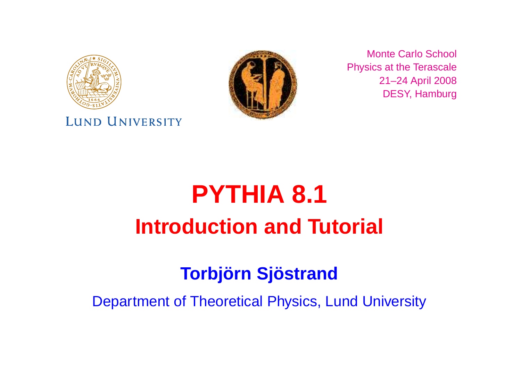

#### LUND UNIVERSITY



Monte Carlo School Physics at the Terascale 21–24 April 2008 DESY, Hamburg

# **PYTHIA 8.1 Introduction and Tutorial**

# **Torbjörn Sjöstrand**

Department of Theoretical Physics, Lund University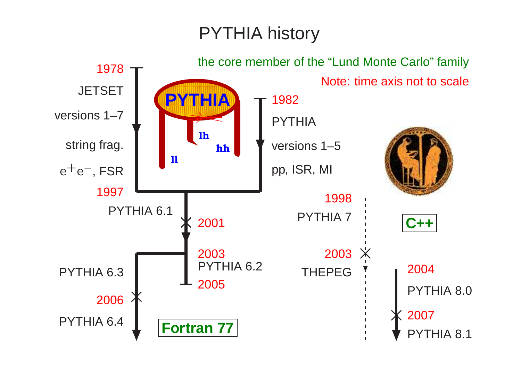# PYTHIA history

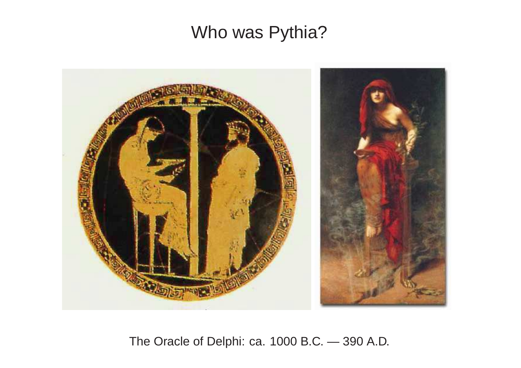# Who was Pythia?



The Oracle of Delphi: ca. 1000 B.C. — 390 A.D.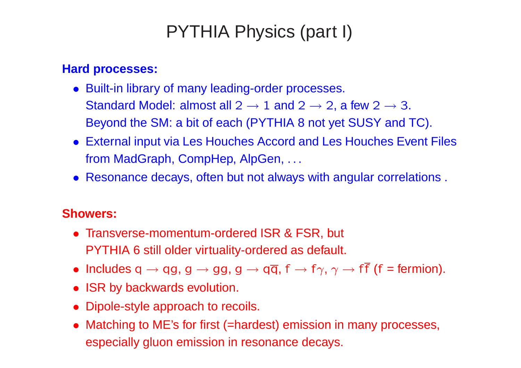# PYTHIA Physics (part I)

#### **Hard processes:**

- Built-in library of many leading-order processes. Standard Model: almost all  $2 \rightarrow 1$  and  $2 \rightarrow 2$ , a few  $2 \rightarrow 3$ . Beyond the SM: <sup>a</sup> bit of each (PYTHIA 8 not yet SUSY and TC).
- External input via Les Houches Accord and Les Houches Event Files from MadGraph, CompHep, AlpGen, ...
- Resonance decays, often but not always with angular correlations .

#### **Showers:**

- Transverse-momentum-ordered ISR & FSR, but PYTHIA 6 still older virtuality-ordered as default.
- Includes q  $\rightarrow$  qg, g  $\rightarrow$  gg, g  $\rightarrow$  q $\overline{q}$ , f  $\rightarrow$  f $\gamma$ ,  $\gamma$   $\rightarrow$  f $\overline{f}$  (f = fermion).
- ISR by backwards evolution.
- Dipole-style approach to recoils.
- Matching to ME's for first (=hardest) emission in many processes, especially gluon emission in resonance decays.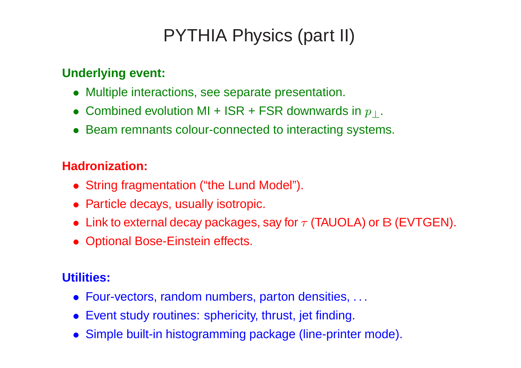# PYTHIA Physics (part II)

#### **Underlying event:**

- Multiple interactions, see separate presentation.
- $\bullet \,$  Combined evolution MI + ISR + FSR downwards in  $p_\perp.$
- Beam remnants colour-connected to interacting systems.

#### **Hadronization:**

- String fragmentation ("the Lund Model").
- Particle decays, usually isotropic.
- Link to external decay packages, say for  $\tau$  (TAUOLA) or B (EVTGEN).
- Optional Bose-Einstein effects.

#### **Utilities:**

- Four-vectors, random numbers, parton densities, . . .
- Event study routines: sphericity, thrust, jet finding.
- Simple built-in histogramming package (line-printer mode).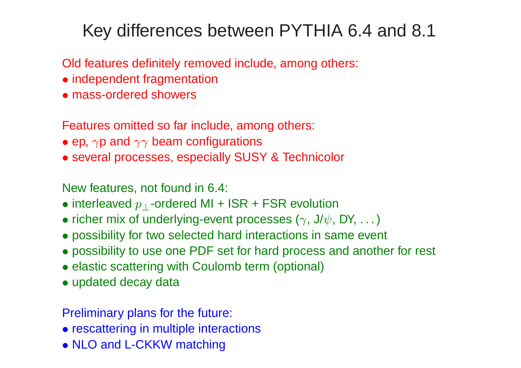# Key differences between PYTHIA 6.4 and 8.1

Old features definitely removed include, among others:

- independent fragmentation
- mass-ordered showers

Features omitted so far include, among others:

- $\bullet$  ep,  $\gamma$ p and  $\gamma\gamma$  beam configurations
- several processes, especially SUSY & Technicolor

New features, not found in 6.4:

- $\bullet$  interleaved  $p_\perp$ -ordered MI + ISR + FSR evolution
- $\bullet$  richer mix of underlying-event processes ( $\gamma$ , J/ $\psi$ , DY,  $\ldots$  )
- possibility for two selected hard interactions in same even t
- possibility to use one PDF set for hard process and another for rest
- elastic scattering with Coulomb term (optional)
- updated decay data

Preliminary plans for the future:

- rescattering in multiple interactions
- NLO and L-CKKW matching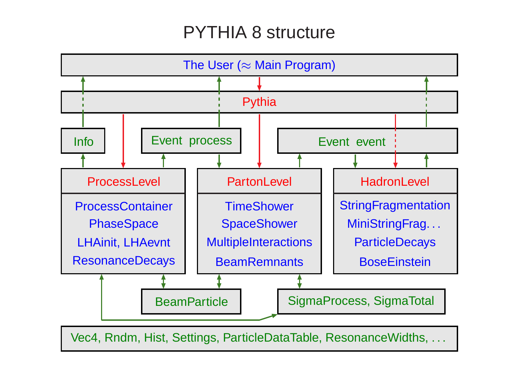# PYTHIA 8 structure

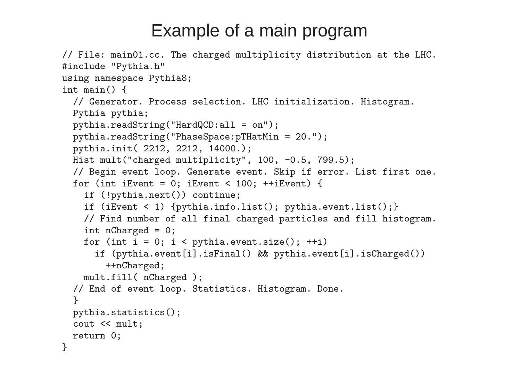# Example of <sup>a</sup> main program

```
// File: main01.cc. The charged multiplicity distribution at the LHC.
#include "Pythia.h"
using namespace Pythia8;
int main() {
  // Generator. Process selection. LHC initialization. Histogram.
 Pythia pythia;
 pythia.readString("HardQCD:all = on");
 pythia.readString("PhaseSpace:pTHatMin = 20.");
  pythia.init( 2212, 2212, 14000.);
 Hist mult("charged multiplicity", 100, -0.5, 799.5);
  // Begin event loop. Generate event. Skip if error. List first one.
  for (int iEvent = 0; iEvent < 100; ++iEvent) {
    if (!pythia.next()) continue;
    if (iEvent < 1) \{ pythia.info.list(); pythia.event.list(); \}// Find number of all final charged particles and fill histogram.
    int nCharged = 0;
    for (int i = 0; i \lt y ythia.event.size(); ++i)
      if (pythia.event[i].isFinal() && pythia.event[i].isCharged())
        ++nCharged;
   mult.fill( nCharged );
  // End of event loop. Statistics. Histogram. Done.
  }
 pythia.statistics();
  cout << mult;
  return 0;
}
```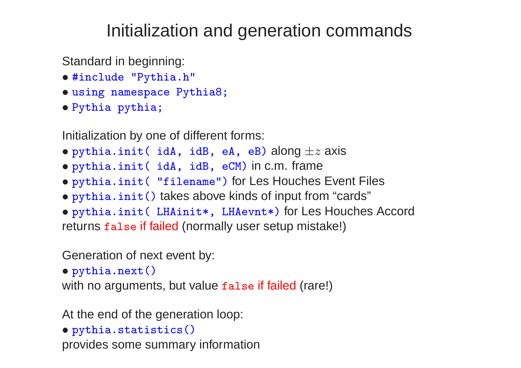# Initialization and generation commands

Standard in beginning:

- #include "Pythia.h"
- using namespace Pythia8;
- Pythia pythia;

Initialization by one of different forms:

- pythia.init( idA, idB, eA, eB) along  $\pm z$  axis
- pythia.init( idA, idB, eCM) in c.m. frame
- pythia.init( "filename") for Les Houches Event Files
- pythia.init() takes above kinds of input from "cards"

• pythia.init( LHAinit\*, LHAevnt\*) for Les Houches Accord returns false if failed (normally user setup mistake!)

Generation of next event by:

• pythia.next()

with no arguments, but value false if failed (rare!)

At the end of the generation loop:

```
• pythia.statistics()
```
provides some summary information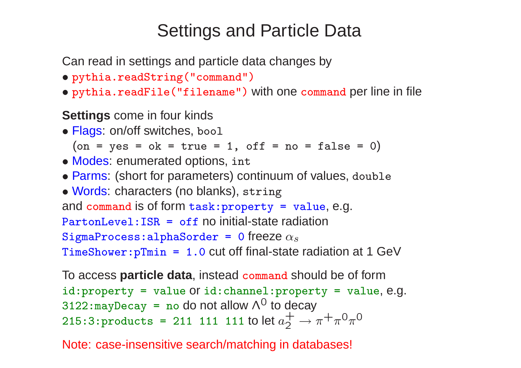# Settings and Particle Data

Can read in settings and particle data changes by

- pythia.readString("command")
- pythia.readFile("filename") with one command per line in file

#### **Settings** come in four kinds

• Flags: on/off switches, bool

```
\begin{array}{l} {\rm (on\; =\; yes\; =\; ok\; =\; true\; =\; 1,\;\; off\; =\; no\; =\; false\; =\; 0)} \end{array}
```
- Modes: enumerated options, int
- Parms: (short for parameters) continuum of values, double
- Words: characters (no blanks), string

```
and command is of form task:property = value, e.g.
```

```
PartonLevel:ISR = off no initial-state radiation
```

```
\mathtt{SigmaProcess:alphaSorder~=~0} freeze \alpha_{\scriptscriptstyle \mathcal{S}}
```
TimeShower:pTmin <sup>=</sup> 1.0 cut off final-state radiation at 1 GeV

To access **particle data**, instead command should be of form  $id:property = value$  or  $id:channel:property = value, e.g.$ 3122:may<code>Decay = no do not allow</code>  $\wedge^0$  to decay  $215:3:$ products = 211 111 111 to let  $a_2^+$ 2  $\rightarrow \pi + \pi^0 \pi^0$ 

Note: case-insensitive search/matching in databases!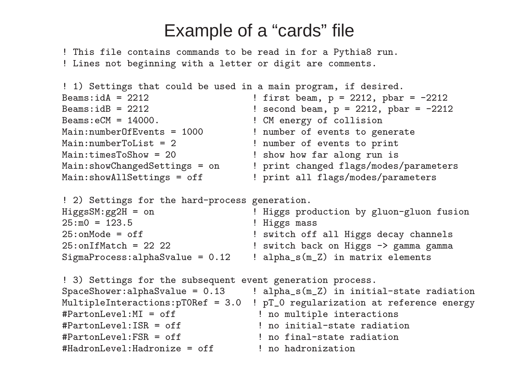### Example of <sup>a</sup> "cards" file

! This file contains commands to be read in for a Pythia8 run. ! Lines not beginning with a letter or digit are comments.

```
! 1) Settings that could be used in a main program, if desired.
Beams:idA = 2212 \qquad \qquad : first beam, p = 2212, pbar = -2212Beams:idB = 2212 \qquad \qquad \qquad \qquad \qquad \qquad \qquad \qquad \qquad \qquad \qquad \qquad \qquad \qquad \qquad \qquad \qquad \qquad \qquad \qquad \qquad \qquad \qquad \qquad \qquad \qquad \qquad \qquad \qquad \qquad \qquad \qquad \qquad \qquadBeams:eCM = 14000. ! CM energy of collision
Main:numberOfEvents = 1000 <br> ! number of events to generate
Main:numberToList = 2 \qquad ! number of events to print
Main:timesToShow = 20 <br> 1 show how far along run is
Main:showChangedSettings = on ! print changed flags/modes/parameters
Main:showAllSettings = off \qquad ! print all flags/modes/parameters
```
! 2) Settings for the hard-process generation.

| $HiggsSM:gg2H = on$               | ! Higgs production by gluon-gluon fusion |
|-----------------------------------|------------------------------------------|
| $25: m0 = 123.5$                  | ! Higgs mass                             |
| $25:$ on Mode = of f              | ! switch off all Higgs decay channels    |
| $25:$ onIfMatch = 22 22           | ! switch back on Higgs -> gamma gamma    |
| $SigmaProcess:alphaSwalue = 0.12$ | $: alpha_s(m_Z)$ in matrix elements      |

! 3) Settings for the subsequent event generation process. SpaceShower:alphaSvalue =  $0.13$  ! alpha\_s(m\_Z) in initial-state radiation MultipleInteractions:pT0Ref = 3.0 ! pT\_0 regularization at reference energy #PartonLevel:MI = off  $\qquad$  ! no multiple interactions #PartonLevel:ISR = off  $\qquad$  ! no initial-state radiation #PartonLevel:FSR = off ! no final-state radiation  $#HadronLevel: Hadronize = off$  | no hadronization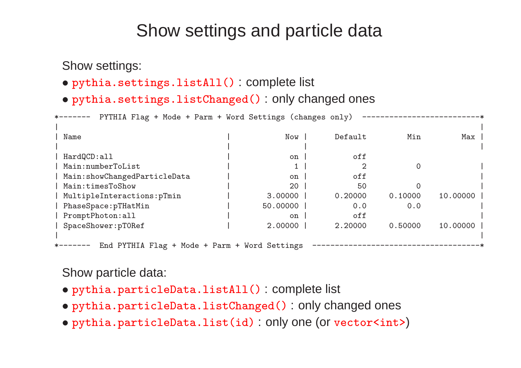## Show settings and particle data

Show settings:

- pythia.settings.listAll() : complete list
- pythia.settings.listChanged() : only changed ones

\*------- PYTHIA Flag + Mode + Parm + Word Settings (changes only) ---------------| | | Name | Now | Default Min Max |  $\mathbf{I}$  , and the set of the set of the set of the set of the set of the set of the set of the set of the set of the set of the set of the set of the set of the set of the set of the set of the set of the set of the set HardQCD:all  $\qquad$  | on | off | Main:numberToList | 1 | 2 0 | Main:showChangedParticleData | on | off | Main:timesToShow | 20 | 50 0 | | MultipleInteractions:pTmin | 3.00000 | 0.20000 0.10000 10.00000 | | PhaseSpace:pTHatMin | 50.00000 | 0.0 0.0 | PromptPhoton:all  $|$  on  $|$  off | SpaceShower:pT0Ref | 2.00000 | 2.20000 0.50000 10.00000 |  $\mathcal{L} = \{ \mathcal{L} \in \mathbb{R}^n : \mathcal{L} = \mathcal{L} \text{ and } \mathcal{L} = \mathcal{L} \text{ and } \mathcal{L} = \mathcal{L} \text{ and } \mathcal{L} = \mathcal{L} \text{ and } \mathcal{L} = \mathcal{L} \text{ and } \mathcal{L} = \mathcal{L} \text{ and } \mathcal{L} = \mathcal{L} \text{ and } \mathcal{L} = \mathcal{L} \text{ and } \mathcal{L} = \mathcal{L} \text{ and } \mathcal{L} = \mathcal{L} \text{ and } \mathcal{L} = \mathcal{L} \$ ---- End PYTHIA Flag + Mode + Parm + Word Settings -----------------------------

#### Show particle data:

- pythia.particleData.listAll() : complete list
- pythia.particleData.listChanged() : only changed ones
- pythia.particleData.list(id) : only one (or vector<int> )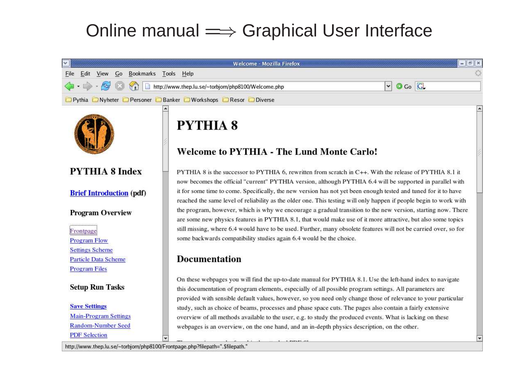## Online manual = Graphical User Interface

| v.                                                                         | Welcome - Mozilla Firefox                                                                                                                                                                                                                                                                                                             | - 同 ×                              |  |
|----------------------------------------------------------------------------|---------------------------------------------------------------------------------------------------------------------------------------------------------------------------------------------------------------------------------------------------------------------------------------------------------------------------------------|------------------------------------|--|
| Bookmarks Tools Help<br>File<br>Edit View Go                               |                                                                                                                                                                                                                                                                                                                                       |                                    |  |
| $\left\langle \blacksquare\cdot \square \right\rangle$<br>$\mathbb{Z}$     | http://www.thep.lu.se/~torbjorn/php8100/Welcome.php                                                                                                                                                                                                                                                                                   | $\circ$ Go $\circ$<br>$\mathbf{v}$ |  |
|                                                                            | <b>DPythia DNyheter DPersoner DBanker DWorkshops DResor DDiverse</b>                                                                                                                                                                                                                                                                  |                                    |  |
|                                                                            | <b>PYTHIA 8</b><br>Welcome to PYTHIA - The Lund Monte Carlo!                                                                                                                                                                                                                                                                          |                                    |  |
| <b>PYTHIA 8 Index</b>                                                      | PYTHIA 8 is the successor to PYTHIA 6, rewritten from scratch in C++. With the release of PYTHIA 8.1 it<br>now becomes the official "current" PYTHIA version, although PYTHIA 6.4 will be supported in parallel with                                                                                                                  |                                    |  |
| <b>Brief Introduction (pdf)</b>                                            | it for some time to come. Specifically, the new version has not yet been enough tested and tuned for it to have<br>reached the same level of reliability as the older one. This testing will only happen if people begin to work with                                                                                                 |                                    |  |
| <b>Program Overview</b>                                                    | the program, however, which is why we encourage a gradual transition to the new version, starting now. There<br>are some new physics features in PYTHIA 8.1, that would make use of it more attractive, but also some topics                                                                                                          |                                    |  |
| Frontpage                                                                  | still missing, where 6.4 would have to be used. Further, many obsolete features will not be carried over, so for<br>some backwards compatibility studies again 6.4 would be the choice.                                                                                                                                               |                                    |  |
| <b>Program Flow</b><br><b>Settings Scheme</b>                              |                                                                                                                                                                                                                                                                                                                                       |                                    |  |
| Particle Data Scheme<br><b>Program Files</b>                               | <b>Documentation</b>                                                                                                                                                                                                                                                                                                                  |                                    |  |
| <b>Setup Run Tasks</b>                                                     | On these webpages you will find the up-to-date manual for PYTHIA 8.1. Use the left-hand index to navigate<br>this documentation of program elements, especially of all possible program settings. All parameters are<br>provided with sensible default values, however, so you need only change those of relevance to your particular |                                    |  |
| <b>Save Settings</b><br><b>Main-Program Settings</b><br>Random-Number Seed | study, such as choice of beams, processes and phase space cuts. The pages also contain a fairly extensive<br>overview of all methods available to the user, e.g. to study the produced events. What is lacking on these<br>webpages is an overview, on the one hand, and an in-depth physics description, on the other.               |                                    |  |
| <b>PDF</b> Selection                                                       |                                                                                                                                                                                                                                                                                                                                       |                                    |  |

http://www.thep.lu.se/~torbjorn/php8100/Frontpage.php?filepath=".\$filepath."

 $\overline{\phantom{0}}$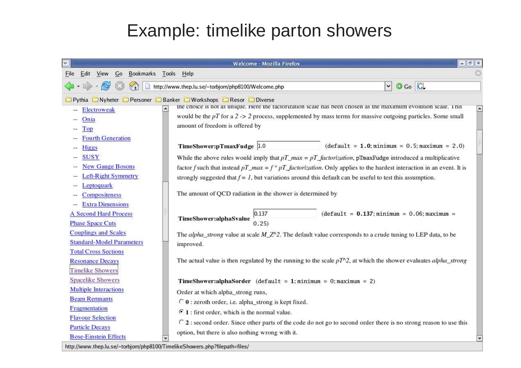# Example: timelike parton showers

|                                                                                                                                                                                                                                                                                                                                  | $=$ $   \nexists   $<br>Welcome - Mozilla Firefox                                                                           |
|----------------------------------------------------------------------------------------------------------------------------------------------------------------------------------------------------------------------------------------------------------------------------------------------------------------------------------|-----------------------------------------------------------------------------------------------------------------------------|
| Bookmarks Tools Help<br>Go<br>Edit<br>View<br>File                                                                                                                                                                                                                                                                               |                                                                                                                             |
|                                                                                                                                                                                                                                                                                                                                  | $\circ$ Go $\circ$<br>http://www.thep.lu.se/~torbjorn/php8100/Welcome.php<br>$\left  \mathbf{v} \right $                    |
|                                                                                                                                                                                                                                                                                                                                  | Pythia Nyheter Personer Banker Norkshops DResor DDiverse                                                                    |
| Electroweak                                                                                                                                                                                                                                                                                                                      | the choice is not as unique. Here the factorization scale has been chosen as the maximum evolution scale. This              |
| Onia                                                                                                                                                                                                                                                                                                                             | would be the $pT$ for a 2 -> 2 process, supplemented by mass terms for massive outgoing particles. Some small               |
| Top                                                                                                                                                                                                                                                                                                                              | amount of freedom is offered by                                                                                             |
| <b>Fourth Generation</b>                                                                                                                                                                                                                                                                                                         |                                                                                                                             |
| Higgs                                                                                                                                                                                                                                                                                                                            | $(default = 1.0; minimum = 0.5; maximum = 2.0)$<br>TimeShower:pTmaxFudge 1.0                                                |
| <b>SUSY</b>                                                                                                                                                                                                                                                                                                                      | While the above rules would imply that $pT\_max = pT\_factorization$ , pTmaxFudge introduced a multiplicative               |
| <b>New Gauge Bosons</b>                                                                                                                                                                                                                                                                                                          | factor f such that instead $pT_{max} = f * pT_{factorization}$ . Only applies to the hardest interaction in an event. It is |
| Left-Right Symmetry                                                                                                                                                                                                                                                                                                              | strongly suggested that $f = I$ , but variations around this default can be useful to test this assumption.                 |
| eptoquark                                                                                                                                                                                                                                                                                                                        |                                                                                                                             |
| Compositeness                                                                                                                                                                                                                                                                                                                    | The amount of QCD radiation in the shower is determined by                                                                  |
| <b>Extra Dimensions</b>                                                                                                                                                                                                                                                                                                          |                                                                                                                             |
| <b>A Second Hard Process</b>                                                                                                                                                                                                                                                                                                     | 0.137<br>$(default = 0.137; minimum = 0.06; maximum =$<br>TimeShower:alphaSvalue                                            |
| <b>Phase Space Cuts</b>                                                                                                                                                                                                                                                                                                          | 0.25)                                                                                                                       |
| <b>Couplings and Scales</b>                                                                                                                                                                                                                                                                                                      | The alpha_strong value at scale $M_Z \sim 2$ . The default value corresponds to a crude tuning to LEP data, to be           |
| <b>Standard-Model Parameters</b>                                                                                                                                                                                                                                                                                                 | improved.                                                                                                                   |
| <b>Total Cross Sections</b>                                                                                                                                                                                                                                                                                                      |                                                                                                                             |
| <b>Resonance Decays</b>                                                                                                                                                                                                                                                                                                          | The actual value is then regulated by the running to the scale $pT^2$ , at which the shower evaluates alpha_strong          |
| <b>Timelike Showers</b>                                                                                                                                                                                                                                                                                                          |                                                                                                                             |
| <b>Spacelike Showers</b>                                                                                                                                                                                                                                                                                                         | TimeShower:alphaSorder (default = 1; minimum = 0; maximum = 2)                                                              |
| <b>Multiple Interactions</b>                                                                                                                                                                                                                                                                                                     | Order at which alpha_strong runs,                                                                                           |
| <b>Beam Remnants</b>                                                                                                                                                                                                                                                                                                             | € 0 : zeroth order, i.e. alpha_strong is kept fixed.                                                                        |
| Fragmentation                                                                                                                                                                                                                                                                                                                    | $\mathcal{F}$ 1 : first order, which is the normal value.                                                                   |
| <b>Flavour Selection</b>                                                                                                                                                                                                                                                                                                         | C 2 : second order. Since other parts of the code do not go to second order there is no strong reason to use this           |
| <b>Particle Decays</b>                                                                                                                                                                                                                                                                                                           | option, but there is also nothing wrong with it.                                                                            |
| <b>Bose-Einstein Effects</b><br>$\mathbf{L}$ and $\mathbf{L}$ and $\mathbf{L}$ and $\mathbf{L}$ and $\mathbf{L}$ and $\mathbf{L}$ and $\mathbf{L}$ and $\mathbf{L}$ and $\mathbf{L}$ and $\mathbf{L}$ and $\mathbf{L}$ and $\mathbf{L}$ and $\mathbf{L}$ and $\mathbf{L}$ and $\mathbf{L}$ and $\mathbf{L}$ and $\mathbf{L}$ and | and the matter and the state of the state of the state of the state of the state of the state of the state of the           |

http://www.thep.lu.se/~torbjorn/php8100/TimelikeShowers.php?filepath=files/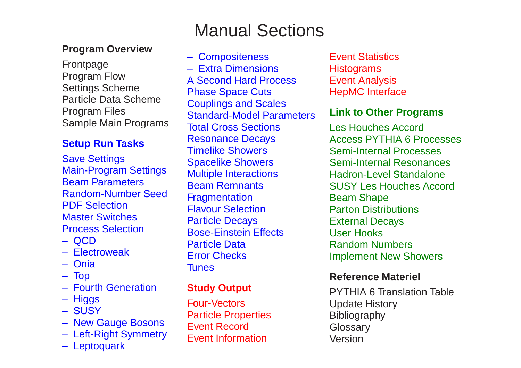#### **Program Overview**

Frontpage Program Flow Settings Scheme Particle Data Scheme Program Files Sample Main Programs

#### **Setup Run Tasks**

Save Settings Main-Program Settings Beam Parameters Random-Number Seed PDF Selection Master Switches Process Selection

- QCD
- Electroweak
- Onia
- Top
- Fourth Generation
- Higgs
- SUSY
- New Gauge Bosons
- Left-Right Symmetry
- Leptoquark

# Manual Sections

– Compositeness – Extra Dimensions A Second Hard Process Phase Space Cuts Couplings and Scales Standard-Model Parameters Total Cross Sections Resonance Decays Timelike Showers Spacelike Showers Multiple Interactions Beam Remnants **Fragmentation** Flavour Selection Particle Decays Bose-Einstein Effects Particle Data Error Checks **Tunes** 

#### **Study Output**

Four-Vectors Particle Properties Event Record Event Information

Event Statistics **Histograms** Event Analysis HepMC Interface

#### **Link to Other Programs**

Les Houches Accord Access PYTHIA 6 Processes Semi-Internal Processes Semi-Internal Resonances Hadron-Level Standalone SUSY Les Houches Accord Beam Shape Parton Distributions External Decays User Hooks Random Numbers Implement New Showers

#### **Reference Materiel**

PYTHIA 6 Translation Table Update History **Bibliography Glossary** Version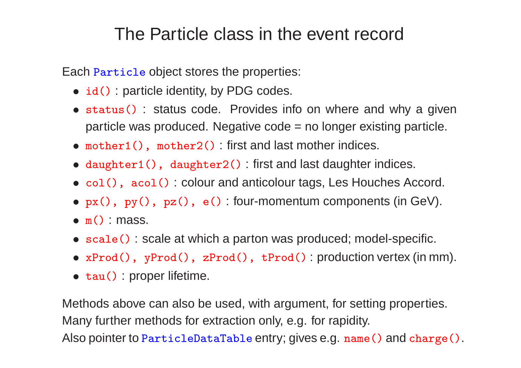### The Particle class in the event record

Each Particle object stores the properties:

- id() : particle identity, by PDG codes.
- status() : status code. Provides info on where and why a given particle was produced. Negative code <sup>=</sup> no longer existing particle.
- mother1(), mother2() : first and last mother indices.
- daughter1(), daughter2() : first and last daughter indices.
- col(), acol(): colour and anticolour tags, Les Houches Accord.
- px(), py(), pz(), e() : four-momentum components (in GeV).
- $\bullet$  m() : mass.
- scale() : scale at which <sup>a</sup> parton was produced; model-specific.
- xProd(), <sup>y</sup>Prod(), zProd(), tProd() : production vertex (in mm).
- tau() : proper lifetime.

Methods above can also be used, with argument, for setting properties. Many further methods for extraction only, e.g. for rapidity. Also pointer to ParticleDataTable entry; gives e.g. name() and charge().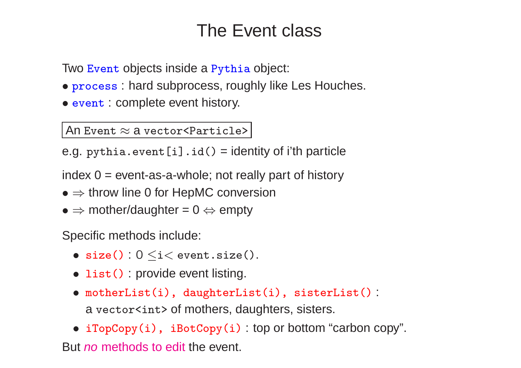# The Event class

Two Event objects inside <sup>a</sup> Pythia object:

- process: hard subprocess, roughly like Les Houches.
- event : complete event history.

An Event  $\approx$  a vector<Particle>

e.g. pythia.event  $[i]$ .id() = identity of i'th particle

index  $0 =$  event-as-a-whole; not really part of history

- $\bullet \Rightarrow$  throw line 0 for HepMC conversion
- $\Rightarrow$  mother/daughter = 0  $\Leftrightarrow$  empty

Specific methods include:

- $size() : 0 \leq i < event.size()$ .
- list() : provide event listing.
- motherList(i), daughterList(i), sisterList() : <sup>a</sup> vector<int> of mothers, daughters, sisters.
- iTopCopy(i), iBotCopy(i) : top or bottom "carbon copy".

But *no* methods to edit the event.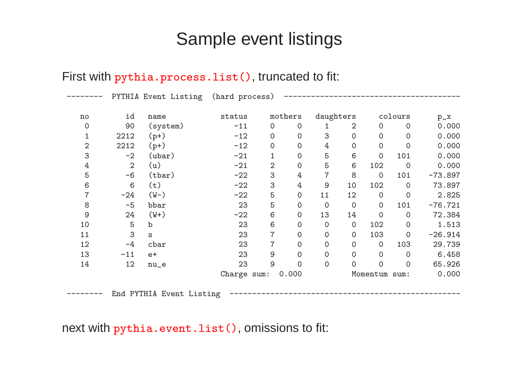### Sample event listings

#### First with pythia.process.list(), truncated to fit:

|                        |                | PYTHIA Event Listing     | (hard process) |                     |                     |                |                |                |                     |           |
|------------------------|----------------|--------------------------|----------------|---------------------|---------------------|----------------|----------------|----------------|---------------------|-----------|
| $\mathop{\mathtt{no}}$ | id             | name                     | status         |                     | mothers             |                | daughters      |                | colours             | $p_{x}$   |
| 0                      | 90             | (system)                 | $-11$          | $\mathbf 0$         | 0                   |                | 2              | $\overline{0}$ | $\overline{0}$      | 0.000     |
| $\mathbf 1$            | 2212           | $(p+)$                   | $-12$          | $\mathsf{O}\xspace$ | 0                   | 3              | $\mathbf 0$    | $\mathbf 0$    | $\overline{O}$      | 0.000     |
| $\mathbf{2}$           | 2212           | $(p+)$                   | $-12$          | $\mathbf 0$         | 0                   | 4              | $\mathbf 0$    | $\mathbf 0$    | $\mathbf 0$         | 0.000     |
| 3                      | $-2$           | $(\text{ubar})$          | $-21$          | 1                   | 0                   | 5              | $6\,$          | $\mathbf 0$    | 101                 | 0.000     |
| $\overline{4}$         | $\overline{2}$ | (u)                      | $-21$          | 2                   | 0                   | 5              | $6\,$          | 102            | $\overline{0}$      | 0.000     |
| 5                      | $-6$           | (tbar)                   | $-22$          | 3                   | 4                   | $\overline{7}$ | 8              | $\overline{O}$ | 101                 | $-73.897$ |
| $\,6$                  | $6\,$          | (t)                      | $-22$          | 3                   | 4                   | 9              | 10             | 102            | $\overline{O}$      | 73.897    |
| $\overline{7}$         | $-24$          | $(W-)$                   | $-22$          | 5                   | $\mathsf{O}\xspace$ | 11             | 12             | $\overline{O}$ | $\mathbf 0$         | 2.825     |
| $8\,$                  | $-5$           | bbar                     | 23             | 5                   | 0                   | $\mathbf 0$    | $\overline{0}$ | $\overline{0}$ | 101                 | $-76.721$ |
| $\mathsf 9$            | 24             | $(W+)$                   | $-22$          | 6                   | 0                   | 13             | 14             | $\overline{0}$ | $\overline{O}$      | 72.384    |
| 10                     | 5              | $\mathbf b$              | 23             | $6\,$               | 0                   | $\mathbf 0$    | $\mathbf 0$    | 102            | $\mathbf 0$         | 1.513     |
| 11                     | 3              | S                        | 23             | 7                   | 0                   | $\mathbf 0$    | $\mathbf 0$    | 103            | $\mathsf{O}\xspace$ | $-26.914$ |
| 12                     | $-4$           | cbar                     | 23             | $\overline{7}$      | 0                   | $\mathbf 0$    | $\overline{O}$ | $\overline{O}$ | 103                 | 29.739    |
| 13                     | $-11$          | $e+$                     | 23             | 9                   | 0                   | $\mathbf 0$    | $\overline{O}$ | $\overline{0}$ | $\Omega$            | 6.458     |
| 14                     | 12             | $nu_e$                   | 23             | 9                   | $\overline{0}$      | $\mathbf 0$    | $\overline{0}$ | $\mathbf 0$    | $\overline{O}$      | 65.926    |
|                        |                |                          | Charge sum:    |                     | 0.000               |                |                | Momentum sum:  |                     | 0.000     |
|                        |                | End PYTHIA Event Listing |                |                     |                     |                |                |                |                     |           |

next with pythia.event.list(), omissions to fit: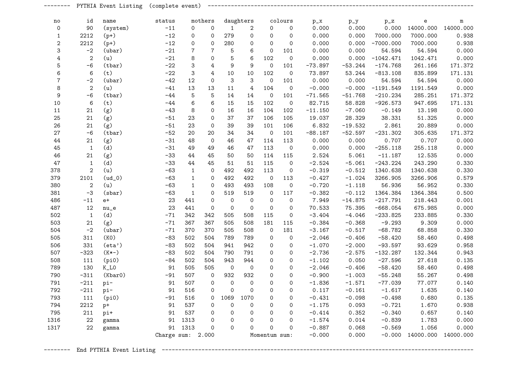|                  |                | PYTHIA Event Listing | (complete event)  |                           |                     |                     |                     |                     |             |           |           |             |           |                     |
|------------------|----------------|----------------------|-------------------|---------------------------|---------------------|---------------------|---------------------|---------------------|-------------|-----------|-----------|-------------|-----------|---------------------|
| no               | id             | name                 | status            |                           | mothers             |                     | daughters           |                     | colours     | $p_x$     | $p_y$     | $p_z$       | e         | ${\bf m}$           |
| 0                | 90             | (system)             | $-11$             | $\mathsf{O}$              | $\mathsf{O}$        | $\mathbf{1}$        | $\mathbf{2}$        | $\mathbf 0$         | $\mathbf 0$ | 0.000     | 0.000     | 0.000       | 14000.000 | 14000.000           |
| 1                | 2212           | $(p+)$               | $-12$             | 0                         | $\mathsf{O}\xspace$ | 279                 | $\mathsf{O}\xspace$ | $\mathsf{O}\xspace$ | $\mathbf 0$ | 0.000     | 0.000     | 7000.000    | 7000.000  | 0.938               |
| 2                | 2212           | $(p+)$               | $-12$             | 0                         | $\mathsf{O}\xspace$ | 280                 | $\mathsf{O}\xspace$ | $\mathsf{O}\xspace$ | $\mathbf 0$ | 0.000     | 0.000     | $-7000.000$ | 7000.000  | 0.938               |
| 3                | $-2$           | (ubar)               | $-21$             | $\sqrt{7}$                | $\sqrt{7}$          | $\mathbf 5$         | 6                   | $\mathsf{O}\xspace$ | 101         | 0.000     | 0.000     | 54.594      | 54.594    | 0.000               |
| 4                | $\sqrt{2}$     | (u)                  | $-21$             | 8                         | $\mathbf 0$         | $\mathbf 5$         | 6                   | 102                 | $\mathbf 0$ | 0.000     | 0.000     | $-1042.471$ | 1042.471  | 0.000               |
| 5                | $-6$           | (tbar)               | $-22$             | 3                         | $\sqrt{4}$          | $\boldsymbol{9}$    | $9\,$               | $\mathbf 0$         | 101         | $-73.897$ | $-53.244$ | $-174.768$  | 261.166   | 171.372             |
| 6                | 6              | (t)                  | $-22$             | $\ensuremath{\mathsf{3}}$ | $\overline{4}$      | 10                  | 10                  | 102                 | $\mathbf 0$ | 73.897    | 53.244    | $-813.108$  | 835.899   | 171.131             |
| $\overline{7}$   | $-2$           | $($ ubar $)$         | $-42$             | 12                        | $\mathsf{O}\xspace$ | $\sqrt{3}$          | 3                   | $\mathbf 0$         | 101         | 0.000     | 0.000     | 54.594      | 54.594    | 0.000               |
| 8                | $\sqrt{2}$     | (u)                  | $-41$             | 13                        | 13                  | $11\,$              | 4                   | 104                 | $\mathbf 0$ | $-0.000$  | $-0.000$  | $-1191.549$ | 1191.549  | 0.000               |
| $\boldsymbol{9}$ | $-6$           | (tbar)               | $-44$             | 5                         | 5                   | 14                  | 14                  | $\mathsf{O}$        | 101         | $-71.565$ | $-51.768$ | $-210.234$  | 285.251   | 171.372             |
| 10               | 6              | (t)                  | $-44$             | $\,6\,$                   | 6                   | 15                  | 15                  | 102                 | $\mathbf 0$ | 82.715    | 58.828    | $-926.573$  | 947.695   | 171.131             |
| $11$             | 21             | (g)                  | $-43$             | $\,8\,$                   | 0                   | 16                  | 16                  | 104                 | 102         | $-11.150$ | $-7.060$  | $-0.149$    | 13.198    | 0.000               |
| 25               | 21             | (g)                  | $-51$             | 23                        | 0                   | 37                  | 37                  | 106                 | 105         | 19.037    | 28.329    | 38.331      | 51.325    | 0.000               |
| 26               | 21             | (g)                  | $-51$             | 23                        | $\mathbf 0$         | 39                  | 39                  | 101                 | 106         | 6.832     | $-19.532$ | 2.861       | 20.889    | 0.000               |
| 27               | $-6$           | (tbar)               | $-52$             | 20                        | 20                  | 34                  | 34                  | $\mathbf 0$         | 101         | $-88.187$ | $-52.597$ | $-231.302$  | 305.635   | 171.372             |
| 44               | 21             | (g)                  | $-31$             | 48                        | $\mathbf 0$         | 46                  | 47                  | 114                 | 113         | 0.000     | 0.000     | 0.707       | 0.707     | 0.000               |
| 45               | $\mathbf{1}$   | (d)                  | $-31$             | 49                        | 49                  | 46                  | 47                  | 113                 | $\circ$     | 0.000     | 0.000     | $-255.118$  | 255.118   | 0.000               |
| 46               | 21             | (g)                  | $-33$             | 44                        | 45                  | 50                  | 50                  | 114                 | 115         | 2.524     | 5.061     | $-11.187$   | 12.535    | 0.000               |
| 47               | 1              | (d)                  | $-33$             | 44                        | 45                  | 51                  | 51                  | 115                 | $\circ$     | $-2.524$  | $-5.061$  | $-243.224$  | 243.290   | 0.330               |
| 378              | $\overline{2}$ | (u)                  | $-63$             | $\mathbf{1}$              | $\mathbf 0$         | 492                 | 492                 | 113                 | $\mathbf 0$ | $-0.319$  | $-0.512$  | 1340.638    | 1340.638  | 0.330               |
| 379              | 2101           | $(ud_0)$             | $-63$             | $\mathbf{1}$              | $\mathbf 0$         | 492                 | 492                 | $\mathbf 0$         | 113         | $-0.427$  | $-1.024$  | 3266.905    | 3266.906  | 0.579               |
| 380              | $\sqrt{2}$     | (u)                  | $-63$             | $\mathbf{1}$              | $\mathbf 0$         | 493                 | 493                 | 108                 | $\mathbf 0$ | $-0.720$  | $-1.118$  | 56.936      | 56.952    | 0.330               |
| 381              | $-3$           | (sbar)               | $-63$             | $\mathbf{1}$              | $\mathbf 0$         | 519                 | 519                 | $\mathbf 0$         | 117         | $-0.382$  | $-0.112$  | 1364.384    | 1364.384  | 0.500               |
| 486              | $-11$          | $e+$                 | 23                | 441                       | $\mathbf 0$         | $\mathsf{O}$        | $\mathbf 0$         | $\mathbf 0$         | $\mathbf 0$ | 7.949     | $-14.875$ | $-217.791$  | 218.443   | 0.001               |
| 487              | 12             | $nu_e$               | 23                | 441                       | $\mathbf 0$         | $\mathbf 0$         | $\mathbf 0$         | $\mathbf 0$         | $\mathbf 0$ | 70.533    | 75.395    | $-668.054$  | 675.985   | 0.000               |
| 502              | $\mathbf{1}$   | (d)                  | $-71$             | 342                       | 342                 | 505                 | 508                 | 115                 | $\mathbf 0$ | $-3.404$  | $-4.046$  | $-233.825$  | 233.885   | 0.330               |
| 503              | 21             | (g)                  | $-71$             | 367                       | 367                 | 505                 | 508                 | 181                 | 115         | $-0.384$  | $-0.368$  | $-9.293$    | 9.309     | 0.000               |
| 504              | $-2$           | (ubar)               | $-71$             | 370                       | 370                 | 505                 | 508                 | $\mathbf 0$         | 181         | $-3.167$  | $-0.517$  | $-68.782$   | 68.858    | 0.330               |
| 505              | 311            | (KO)                 | $-83$             | 502                       | 504                 | 789                 | 789                 | $\mathbf 0$         | $\mathbf 0$ | $-2.046$  | $-0.406$  | $-58.420$   | 58.460    | 0.498               |
| 506              | 331            | $(\text{eta'})$      | $-83$             | 502                       | 504                 | 941                 | 942                 | $\mathbf 0$         | $\mathbf 0$ | $-1.070$  | $-2.000$  | $-93.597$   | 93.629    | 0.958               |
| 507              | $-323$         | $(K*-)$              | $-83$             | 502                       | 504                 | 790                 | 791                 | $\mathbf 0$         | $\mathbf 0$ | $-2.736$  | $-2.575$  | $-132.287$  | 132.344   | 0.943               |
| 508              | 111            | (pi0)                | $-84$             | 502                       | 504                 | 943                 | 944                 | $\mathbf 0$         | $\mathbf 0$ | $-1.102$  | 0.050     | $-27.596$   | 27.618    | 0.135               |
| 789              | 130            | $K_LO$               | 91                | 505                       | 505                 | $\mathbf 0$         | $\mathsf{O}\xspace$ | $\Omega$            | $\Omega$    | $-2.046$  | $-0.406$  | $-58.420$   | 58.460    | 0.498               |
| 790              | $-311$         | (Kbar0)              | $-91$             | 507                       | $\mathbf 0$         | 932                 | 932                 | $\Omega$            | $\Omega$    | $-0.900$  | $-1.003$  | $-55.248$   | 55.267    | 0.498               |
| 791              | $-211$         | pi-                  | 91                | 507                       | 0                   | $\mathbf 0$         | 0                   | 0                   | 0           | $-1.836$  | $-1.571$  | $-77.039$   | 77.077    | 0.140               |
| 792              | $-211$         | pi-                  | 91                | 516                       | 0                   | $\mathbf 0$         | $\mathsf{O}\xspace$ | $\mathbf 0$         | 0           | 0.117     | $-0.161$  | $-1.617$    | 1.635     | 0.140               |
| 793              | 111            | (pi0)                | $-91$             | 516                       | 0                   | 1069                | 1070                | 0                   | 0           | $-0.431$  | $-0.098$  | $-0.498$    | 0.680     | 0.135               |
| 794              | 2212           | $p+$                 | 91                | 537                       | 0                   | $\mathsf{O}\xspace$ | 0                   | 0                   | 0           | $-1.175$  | 0.093     | $-0.721$    | 1.670     | 0.938               |
| 795              | 211            | pi+                  | 91                | 537                       | 0                   | $\mathbf 0$         | 0                   | $\mathbf 0$         | 0           | $-0.414$  | 0.352     | $-0.340$    | 0.657     | 0.140               |
| 1316             | 22             | gamma                | 91                | 1313                      | 0                   | $\mathbf 0$         | 0                   | $\Omega$            | 0           | $-1.574$  | 0.014     | $-0.839$    | 1.783     | 0.000               |
| 1317             | 22             | gamma                | 91                | 1313                      | 0                   | $\mathsf{O}\xspace$ | $\mathbf 0$         | $\mathbf 0$         | 0           | $-0.887$  | 0.068     | $-0.569$    | 1.056     | 0.000               |
|                  |                |                      | Charge sum: 2.000 |                           |                     |                     |                     | Momentum sum:       |             | $-0.000$  | 0.000     | $-0.000$    |           | 14000.000 14000.000 |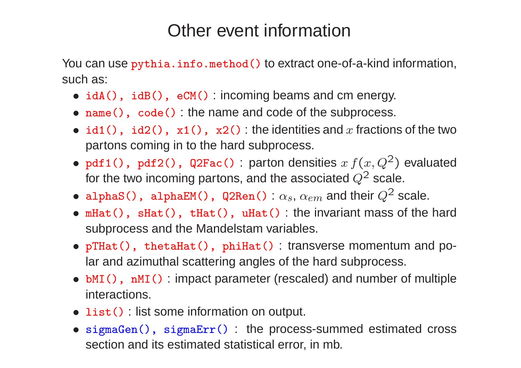### Other event information

You can use pythia.info.method() to extract one-of-a-kind information, such as:

- idA(), idB(), eCM(): incoming beams and cm energy.
- name(), code(): the name and code of the subprocess.
- $\bullet$   $\mathtt{id1()}$ ,  $\mathtt{id2()}$ ,  $\mathtt{x1()}$ ,  $\mathtt{x2()}$  the identities and  $x$  fractions of the two partons coming in to the hard subprocess.
- pdf1(), pdf2(), Q2Fac(): parton densities  $x f(x,Q^2)$  evaluated for the two incoming partons, and the associated  $Q^{\mathsf{2}}$  scale.
- $\bullet$  alphaS(), alphaEM(), Q2Ren():  $\alpha_s,\,\alpha_{em}$  and their  $Q^2$  scale.
- mHat(), sHat(), tHat(), uHat() : the invariant mass of the hard subprocess and the Mandelstam variables.
- <sup>p</sup>THat(), thetaHat(), <sup>p</sup>hiHat() : transverse momentum and polar and azimuthal scattering angles of the hard subprocess.
- **bMI()**, nMI(): impact parameter (rescaled) and number of multiple interactions.
- list() : list some information on output.
- sigmaGen(), sigmaErr() : the process-summed estimated cross section and its estimated statistical error, in mb.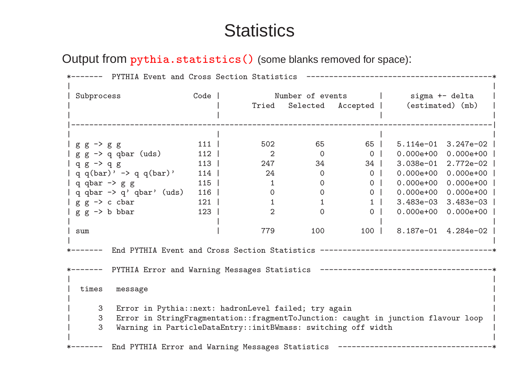### **Statistics**

Output from pythia.statistics() (some blanks removed for space):

| PYTHIA Event and Cross Section Statistics                                              |                                                  |                |                  |                |                  |                     |  |  |  |  |
|----------------------------------------------------------------------------------------|--------------------------------------------------|----------------|------------------|----------------|------------------|---------------------|--|--|--|--|
| Subprocess                                                                             | Code                                             |                | Number of events | sigma +- delta |                  |                     |  |  |  |  |
|                                                                                        |                                                  | Tried          | Selected         | Accepted       | (estimated) (mb) |                     |  |  |  |  |
|                                                                                        |                                                  |                |                  |                |                  |                     |  |  |  |  |
| $g g \rightarrow g g$                                                                  | 111                                              | 502            | 65               | 65             | $5.114e-01$      | $3.247e-02$         |  |  |  |  |
| $g g \rightarrow q$ qbar (uds)                                                         | 112                                              | 2              | $\overline{0}$   | $\overline{0}$ | $0.000e + 00$    | $0.000e+00$         |  |  |  |  |
| $q g \rightarrow q g$                                                                  | $113$                                            | 247            | 34               | $34 \mid$      | $3.038e-01$      | 2.772e-02           |  |  |  |  |
| q q(bar)' $\rightarrow$ q q(bar)'                                                      | 114                                              | 24             | $\Omega$         | 0 <sup>1</sup> | $0.000e + 00$    | $0.000e + 00$       |  |  |  |  |
| $ $ q qbar $\rightarrow$ g g                                                           | 115                                              | $\mathbf{1}$   | $\overline{0}$   | 0 <sup>1</sup> | $0.000e + 00$    | $0.000e+00$         |  |  |  |  |
| q qbar $\rightarrow$ q' qbar' (uds)                                                    | 116                                              | $\overline{O}$ | $\overline{0}$   | 0 <sup>1</sup> | $0.000e + 00$    | $0.000e + 00$       |  |  |  |  |
| $g g \rightarrow c \text{ char}$                                                       | 121                                              | 1              | $\mathbf{1}$     | $1 \vert$      | $3.483e-03$      | $3.483e-03$         |  |  |  |  |
| $g \circ \rightarrow b$ bbar                                                           | 123                                              | $\overline{2}$ | $\Omega$         | 0 <sup>1</sup> | $0.000e + 00$    | $0.000e+00$         |  |  |  |  |
| sum                                                                                    |                                                  | 779            | 100              | $100$          |                  | 8.187e-01 4.284e-02 |  |  |  |  |
|                                                                                        |                                                  |                |                  |                |                  |                     |  |  |  |  |
| PYTHIA Error and Warning Messages Statistics                                           |                                                  |                |                  |                |                  |                     |  |  |  |  |
| times<br>message                                                                       |                                                  |                |                  |                |                  |                     |  |  |  |  |
| 3<br>Error in Pythia::next: hadronLevel failed; try again                              |                                                  |                |                  |                |                  |                     |  |  |  |  |
| Error in StringFragmentation::fragmentToJunction: caught in junction flavour loop<br>3 |                                                  |                |                  |                |                  |                     |  |  |  |  |
| 3<br>Warning in ParticleDataEntry::initBWmass: switching off width                     |                                                  |                |                  |                |                  |                     |  |  |  |  |
|                                                                                        | End PYTHIA Error and Warning Messages Statistics |                |                  |                |                  |                     |  |  |  |  |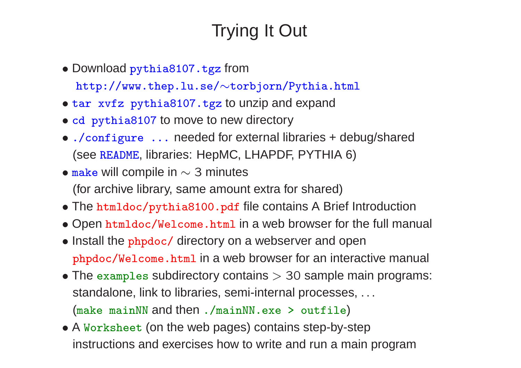# Trying It Out

• Download pythia8107.tgz from

http://www.thep.lu.se/∼torbjorn/Pythia.html

- tar xvfz pythia8107.tgz to unzip and expand
- cd pythia8107 to move to new directory
- ./configure ... needed for external libraries <sup>+</sup> debug/shared (see README, libraries: HepMC, LHAPDF, PYTHIA 6)
- make will compile in  $\sim$  3 minutes (for archive library, same amount extra for shared)
- The htmldoc/pythia8100.pdf file contains A Brief Introduction
- Open htmldoc/Welcome.html in <sup>a</sup> web browser for the full manual
- Install the phpdoc/ directory on a webserver and open <sup>p</sup>hpdoc/Welcome.html in <sup>a</sup> web browser for an interactive manual
- The examples subdirectory contains  $>$  30 sample main programs: standalone, link to libraries, semi-internal processes, . . . (make mainNN and then ./mainNN.exe <sup>&</sup>gt; outfile)
- A Worksheet (on the web pages) contains step-by-step instructions and exercises how to write and run <sup>a</sup> main program